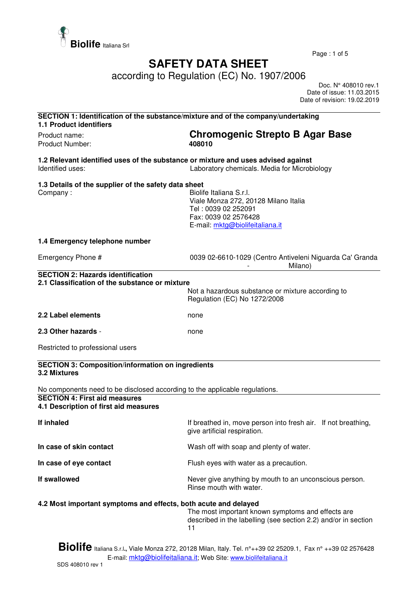

Page : 1 of 5

## **SAFETY DATA SHEET**

according to Regulation (EC) No. 1907/2006

 Doc. N° 408010 rev.1 Date of issue: 11.03.2015 Date of revision: 19.02.2019

| SECTION 1: Identification of the substance/mixture and of the company/undertaking<br><b>1.1 Product identifiers</b> |                                                                                                                                                   |
|---------------------------------------------------------------------------------------------------------------------|---------------------------------------------------------------------------------------------------------------------------------------------------|
| Product name:<br>Product Number:                                                                                    | <b>Chromogenic Strepto B Agar Base</b><br>408010                                                                                                  |
| 1.2 Relevant identified uses of the substance or mixture and uses advised against<br>Identified uses:               | Laboratory chemicals. Media for Microbiology                                                                                                      |
| 1.3 Details of the supplier of the safety data sheet<br>Company:                                                    | Biolife Italiana S.r.I.<br>Viale Monza 272, 20128 Milano Italia<br>Tel: 0039 02 252091<br>Fax: 0039 02 2576428<br>E-mail: mktg@biolifeitaliana.it |
| 1.4 Emergency telephone number                                                                                      |                                                                                                                                                   |
| Emergency Phone #                                                                                                   | 0039 02-6610-1029 (Centro Antiveleni Niguarda Ca' Granda<br>Milano)                                                                               |
| <b>SECTION 2: Hazards identification</b><br>2.1 Classification of the substance or mixture                          | Not a hazardous substance or mixture according to<br>Regulation (EC) No 1272/2008                                                                 |
| 2.2 Label elements                                                                                                  | none                                                                                                                                              |
| 2.3 Other hazards -                                                                                                 | none                                                                                                                                              |
| Restricted to professional users                                                                                    |                                                                                                                                                   |
| <b>SECTION 3: Composition/information on ingredients</b><br>3.2 Mixtures                                            |                                                                                                                                                   |
| No components need to be disclosed according to the applicable regulations.                                         |                                                                                                                                                   |
| <b>SECTION 4: First aid measures</b><br>4.1 Description of first aid measures                                       |                                                                                                                                                   |
| If inhaled                                                                                                          | If breathed in, move person into fresh air. If not breathing,<br>give artificial respiration.                                                     |
| In case of skin contact                                                                                             | Wash off with soap and plenty of water.                                                                                                           |
| In case of eye contact                                                                                              | Flush eyes with water as a precaution.                                                                                                            |
| If swallowed                                                                                                        | Never give anything by mouth to an unconscious person.<br>Rinse mouth with water.                                                                 |
| 4.2 Most important symptoms and effects, both acute and delayed                                                     | The most important known symptoms and effects are<br>described in the labelling (see section 2.2) and/or in section<br>11                         |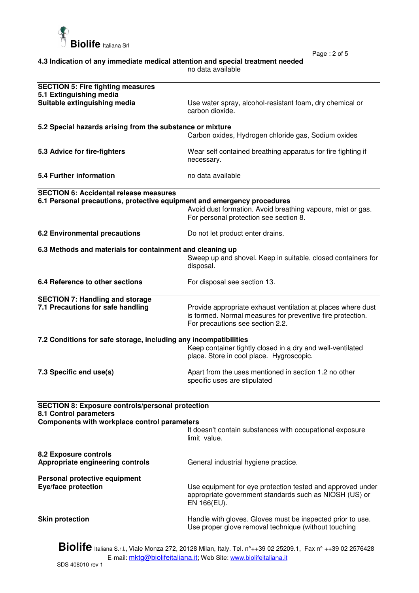

Page : 2 of 5

| 4.3 Indication of any immediate medical attention and special treatment needed |  |
|--------------------------------------------------------------------------------|--|
| no data available                                                              |  |

| <b>SECTION 5: Fire fighting measures</b><br>5.1 Extinguishing media                                                                                                        |                                                                                                                                                                |  |
|----------------------------------------------------------------------------------------------------------------------------------------------------------------------------|----------------------------------------------------------------------------------------------------------------------------------------------------------------|--|
| Suitable extinguishing media                                                                                                                                               | Use water spray, alcohol-resistant foam, dry chemical or<br>carbon dioxide.                                                                                    |  |
| 5.2 Special hazards arising from the substance or mixture                                                                                                                  |                                                                                                                                                                |  |
|                                                                                                                                                                            | Carbon oxides, Hydrogen chloride gas, Sodium oxides                                                                                                            |  |
| 5.3 Advice for fire-fighters                                                                                                                                               | Wear self contained breathing apparatus for fire fighting if<br>necessary.                                                                                     |  |
| 5.4 Further information                                                                                                                                                    | no data available                                                                                                                                              |  |
| <b>SECTION 6: Accidental release measures</b>                                                                                                                              |                                                                                                                                                                |  |
| 6.1 Personal precautions, protective equipment and emergency procedures                                                                                                    | Avoid dust formation. Avoid breathing vapours, mist or gas.<br>For personal protection see section 8.                                                          |  |
| <b>6.2 Environmental precautions</b>                                                                                                                                       | Do not let product enter drains.                                                                                                                               |  |
| 6.3 Methods and materials for containment and cleaning up                                                                                                                  | Sweep up and shovel. Keep in suitable, closed containers for<br>disposal.                                                                                      |  |
| 6.4 Reference to other sections                                                                                                                                            | For disposal see section 13.                                                                                                                                   |  |
| <b>SECTION 7: Handling and storage</b><br>7.1 Precautions for safe handling                                                                                                | Provide appropriate exhaust ventilation at places where dust<br>is formed. Normal measures for preventive fire protection.<br>For precautions see section 2.2. |  |
| 7.2 Conditions for safe storage, including any incompatibilities<br>Keep container tightly closed in a dry and well-ventilated<br>place. Store in cool place. Hygroscopic. |                                                                                                                                                                |  |
| 7.3 Specific end use(s)                                                                                                                                                    | Apart from the uses mentioned in section 1.2 no other<br>specific uses are stipulated                                                                          |  |
| <b>SECTION 8: Exposure controls/personal protection</b><br>8.1 Control parameters                                                                                          |                                                                                                                                                                |  |
| Components with workplace control parameters                                                                                                                               |                                                                                                                                                                |  |
|                                                                                                                                                                            | It doesn't contain substances with occupational exposure<br>limit value.                                                                                       |  |
| 8.2 Exposure controls<br>Appropriate engineering controls                                                                                                                  | General industrial hygiene practice.                                                                                                                           |  |
| Personal protective equipment<br><b>Eye/face protection</b>                                                                                                                | Use equipment for eye protection tested and approved under<br>appropriate government standards such as NIOSH (US) or<br>EN 166(EU).                            |  |
| <b>Skin protection</b>                                                                                                                                                     | Handle with gloves. Gloves must be inspected prior to use.<br>Use proper glove removal technique (without touching                                             |  |

**Biolife** Italiana S.r.l**.,** Viale Monza 272, 20128 Milan, Italy. Tel. n°++39 02 25209.1, Fax n° ++39 02 2576428 E-mail: <u>mktg@biolifeitaliana.it</u>; Web Site: www.biolifeitaliana.it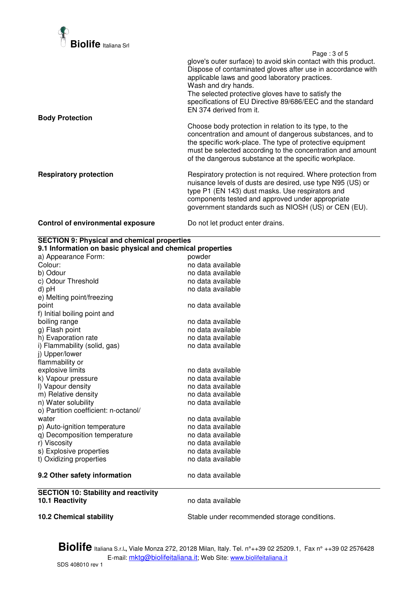

 Page : 3 of 5 glove's outer surface) to avoid skin contact with this product. Dispose of contaminated gloves after use in accordance with applicable laws and good laboratory practices. Wash and dry hands. The selected protective gloves have to satisfy the specifications of EU Directive 89/686/EEC and the standard EN 374 derived from it. **Body Protection**  Choose body protection in relation to its type, to the concentration and amount of dangerous substances, and to the specific work-place. The type of protective equipment must be selected according to the concentration and amount of the dangerous substance at the specific workplace. **Respiratory protection Respiratory protection is not required. Where protection from** nuisance levels of dusts are desired, use type N95 (US) or type P1 (EN 143) dust masks. Use respirators and components tested and approved under appropriate government standards such as NIOSH (US) or CEN (EU).

## **Control of environmental exposure** Do not let product enter drains.

| <b>SECTION 9: Physical and chemical properties</b>        |                                              |  |  |
|-----------------------------------------------------------|----------------------------------------------|--|--|
| 9.1 Information on basic physical and chemical properties |                                              |  |  |
| a) Appearance Form:                                       | powder                                       |  |  |
| Colour:                                                   | no data available                            |  |  |
| b) Odour                                                  | no data available                            |  |  |
| c) Odour Threshold                                        | no data available                            |  |  |
| d) pH                                                     | no data available                            |  |  |
| e) Melting point/freezing                                 |                                              |  |  |
| point                                                     | no data available                            |  |  |
| f) Initial boiling point and                              |                                              |  |  |
| boiling range                                             | no data available                            |  |  |
| g) Flash point                                            | no data available                            |  |  |
| h) Evaporation rate                                       | no data available                            |  |  |
| i) Flammability (solid, gas)                              | no data available                            |  |  |
| j) Upper/lower                                            |                                              |  |  |
| flammability or                                           |                                              |  |  |
| explosive limits                                          | no data available                            |  |  |
| k) Vapour pressure                                        | no data available                            |  |  |
| I) Vapour density                                         | no data available                            |  |  |
| m) Relative density                                       | no data available                            |  |  |
| n) Water solubility                                       | no data available                            |  |  |
| o) Partition coefficient: n-octanol/                      |                                              |  |  |
| water                                                     | no data available                            |  |  |
| p) Auto-ignition temperature                              | no data available                            |  |  |
| q) Decomposition temperature                              | no data available                            |  |  |
| r) Viscosity                                              | no data available                            |  |  |
| s) Explosive properties                                   | no data available                            |  |  |
| t) Oxidizing properties                                   | no data available                            |  |  |
| 9.2 Other safety information                              | no data available                            |  |  |
| <b>SECTION 10: Stability and reactivity</b>               |                                              |  |  |
| 10.1 Reactivity                                           | no data available                            |  |  |
| <b>10.2 Chemical stability</b>                            | Stable under recommended storage conditions. |  |  |

**Biolife** Italiana S.r.l**.,** Viale Monza 272, 20128 Milan, Italy. Tel. n°++39 02 25209.1, Fax n° ++39 02 2576428 E-mail: mktg@biolifeitaliana.it; Web Site: www.biolifeitaliana.it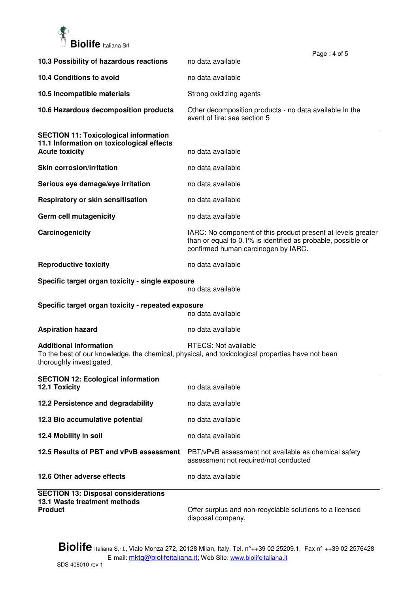

|                                                                                                                    | Page: 4 of 5                                                                                                                                                        |
|--------------------------------------------------------------------------------------------------------------------|---------------------------------------------------------------------------------------------------------------------------------------------------------------------|
| 10.3 Possibility of hazardous reactions                                                                            | no data available                                                                                                                                                   |
| 10.4 Conditions to avoid                                                                                           | no data available                                                                                                                                                   |
| 10.5 Incompatible materials                                                                                        | Strong oxidizing agents                                                                                                                                             |
| 10.6 Hazardous decomposition products                                                                              | Other decomposition products - no data available In the<br>event of fire: see section 5                                                                             |
| <b>SECTION 11: Toxicological information</b><br>11.1 Information on toxicological effects<br><b>Acute toxicity</b> | no data available                                                                                                                                                   |
| <b>Skin corrosion/irritation</b>                                                                                   | no data available                                                                                                                                                   |
| Serious eye damage/eye irritation                                                                                  | no data available                                                                                                                                                   |
| Respiratory or skin sensitisation                                                                                  | no data available                                                                                                                                                   |
| Germ cell mutagenicity                                                                                             | no data available                                                                                                                                                   |
| Carcinogenicity                                                                                                    | IARC: No component of this product present at levels greater<br>than or equal to 0.1% is identified as probable, possible or<br>confirmed human carcinogen by IARC. |
| <b>Reproductive toxicity</b>                                                                                       | no data available                                                                                                                                                   |
| Specific target organ toxicity - single exposure                                                                   | no data available                                                                                                                                                   |
| Specific target organ toxicity - repeated exposure                                                                 | no data available                                                                                                                                                   |
| <b>Aspiration hazard</b>                                                                                           | no data available                                                                                                                                                   |
| <b>Additional Information</b><br>thoroughly investigated.                                                          | RTECS: Not available<br>To the best of our knowledge, the chemical, physical, and toxicological properties have not been                                            |
| <b>SECTION 12: Ecological information</b><br>12.1 Toxicity                                                         | no data available                                                                                                                                                   |
| 12.2 Persistence and degradability                                                                                 | no data available                                                                                                                                                   |
| 12.3 Bio accumulative potential                                                                                    | no data available                                                                                                                                                   |
| 12.4 Mobility in soil                                                                                              | no data available                                                                                                                                                   |
| 12.5 Results of PBT and vPvB assessment                                                                            | PBT/vPvB assessment not available as chemical safety<br>assessment not required/not conducted                                                                       |
| 12.6 Other adverse effects                                                                                         | no data available                                                                                                                                                   |
| <b>SECTION 13: Disposal considerations</b><br>13.1 Waste treatment methods<br><b>Product</b>                       | Offer surplus and non-recyclable solutions to a licensed                                                                                                            |

disposal company.

**Biolife** Italiana S.r.l**.,** Viale Monza 272, 20128 Milan, Italy. Tel. n°++39 02 25209.1, Fax n° ++39 02 2576428 E-mail: <u>mktg@biolifeitaliana.it</u>; Web Site: www.biolifeitaliana.it